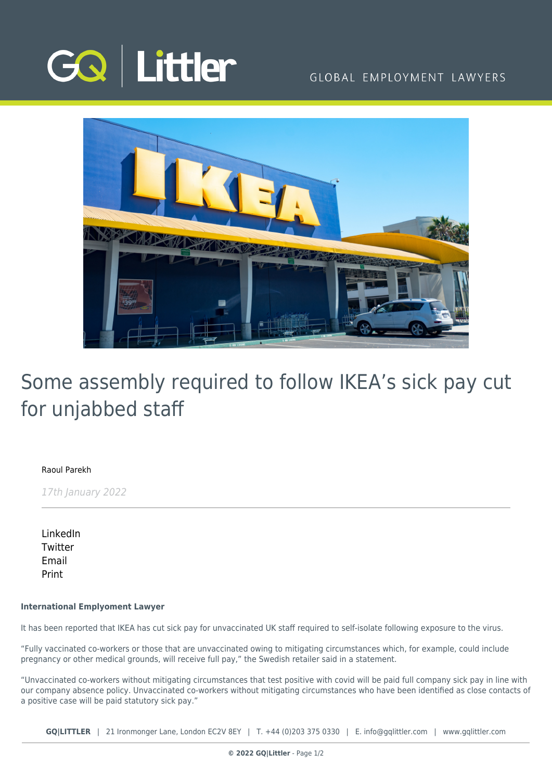

## GLOBAL EMPLOYMENT LAWYERS



# Some assembly required to follow IKEA's sick pay cut for unjabbed staff

#### [Raoul Parekh](https://www.gqlittler.com/about-us/the-team/raoul-parekh)

17th January 2022

[LinkedIn](https://www.linkedin.com/shareArticle?mini=true&url=https%3A%2F%2Fwww.gqlittler.com%2Fresources%2Fnews-and-views%2Fsome-assembly-required-to-follow-ikea-s-sick-pay-cut-for-unjabbed-staff.htm%3Funlock%3Dtrue&title=Some+assembly+required+to+follow+IKEA%E2%80%99s+sick+pay+cut+for+unjabbed+staff&summary=It+has+been+reported+that+IKEA+has+cut+sick+pay+for+unvaccinated+UK+staff+required+to+self-isolate+following+exposure+to+the+virus.&source=GQ+%7C+Littler) **[Twitter](https://twitter.com/share?text=Some+assembly+required+to+follow+IKEA%E2%80%99s+sick+pay+cut+for+unjabbed+staff&url=https%3A%2F%2Fwww.gqlittler.com%2Fresources%2Fnews-and-views%2Fsome-assembly-required-to-follow-ikea-s-sick-pay-cut-for-unjabbed-staff.htm&hashtags=)** [Email](mailto:?subject=Some assembly required to follow IKEA’s sick pay cut for unjabbed staff&body=I) [Print](https://www.bg-pdf.co.uk/_GQ/page.php?M=6148523063484d364c793933643363755a33467361585230624756794c6d4e76625339795a584e7664584a6a5a584d76626d563363793168626d5174646d6c6c64334d76633239745a53316863334e6c62574a73655331795a58463161584a6c5a4331306279316d62327873623363746157746c5953317a4c584e7059327374634746354c574e316443316d623349746457357159574a695a575174633352685a6d5975614852744930416a553239745a53426863334e6c62574a73655342795a58463161584a6c5a4342306279426d62327873623363675355744651654b416d584d6763326c6a6179427759586b675933563049475a7663694231626d7068596d4a6c5a43427a6447466d5a694e4149334e766257557459584e7a5a57316962486b74636d567864576c795a575174644738745a6d3973624739334c576c725a5745746379317a61574e724c5842686553316a645851745a6d39794c585675616d4669596d566b4c584e3059575a6d)

#### **International Emplyoment Lawyer**

It has been reported that IKEA has cut sick pay for unvaccinated UK staff required to self-isolate following exposure to the virus.

"Fully vaccinated co-workers or those that are unvaccinated owing to mitigating circumstances which, for example, could include pregnancy or other medical grounds, will receive full pay," the Swedish retailer said in a statement.

"Unvaccinated co-workers without mitigating circumstances that test positive with covid will be paid full company sick pay in line with our company absence policy. Unvaccinated co-workers without mitigating circumstances who have been identified as close contacts of a positive case will be paid statutory sick pay."

**GQ|LITTLER** | 21 Ironmonger Lane, London EC2V 8EY | T. [+44 \(0\)203 375 0330](https://www.bg-pdf.co.uk/_GQ/tel:+442033750330) | E. [info@gqlittler.com](mailto:info@gqlittler.com) | [www.gqlittler.com](https://www.gqlittler.com)